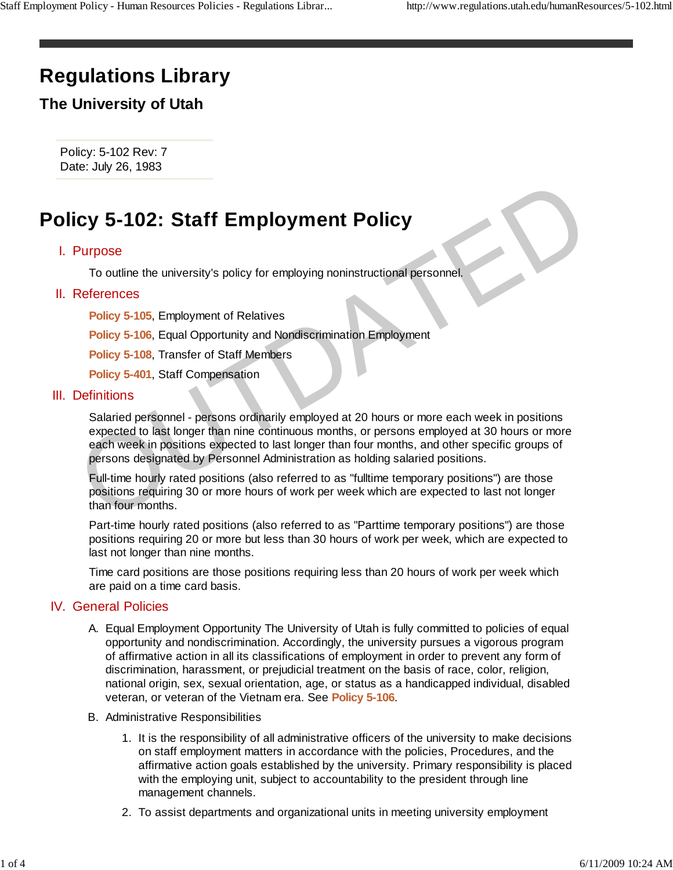# **Regulations Library**

## **The University of Utah**

Policy: 5-102 Rev: 7 Date: July 26, 1983

# **Policy 5-102: Staff Employment Policy**

### I. Purpose

To outline the university's policy for employing noninstructional personnel.

### II. References

**Policy 5-105**, Employment of Relatives

**Policy 5-106**, Equal Opportunity and Nondiscrimination Employment

**Policy 5-108**, Transfer of Staff Members

**Policy 5-401**, Staff Compensation

#### III. Definitions

Salaried personnel - persons ordinarily employed at 20 hours or more each week in positions expected to last longer than nine continuous months, or persons employed at 30 hours or more each week in positions expected to last longer than four months, and other specific groups of persons designated by Personnel Administration as holding salaried positions. Cy 5-102: Staff Employment Policy<br>
Purpose<br>
To outline the university's policy for employing noninstructional personnel.<br>
References<br>
Policy 5-105, Employment of Relatives<br>
Policy 5-105, Employment of Relatives<br>
Policy 5-1

Full-time hourly rated positions (also referred to as "fulltime temporary positions") are those positions requiring 30 or more hours of work per week which are expected to last not longer than four months.

Part-time hourly rated positions (also referred to as "Parttime temporary positions") are those positions requiring 20 or more but less than 30 hours of work per week, which are expected to last not longer than nine months.

Time card positions are those positions requiring less than 20 hours of work per week which are paid on a time card basis.

#### **IV.** General Policies

- A. Equal Employment Opportunity The University of Utah is fully committed to policies of equal opportunity and nondiscrimination. Accordingly, the university pursues a vigorous program of affirmative action in all its classifications of employment in order to prevent any form of discrimination, harassment, or prejudicial treatment on the basis of race, color, religion, national origin, sex, sexual orientation, age, or status as a handicapped individual, disabled veteran, or veteran of the Vietnam era. See **Policy 5-106**.
- B. Administrative Responsibilities
	- 1. It is the responsibility of all administrative officers of the university to make decisions on staff employment matters in accordance with the policies, Procedures, and the affirmative action goals established by the university. Primary responsibility is placed with the employing unit, subject to accountability to the president through line management channels.
	- 2. To assist departments and organizational units in meeting university employment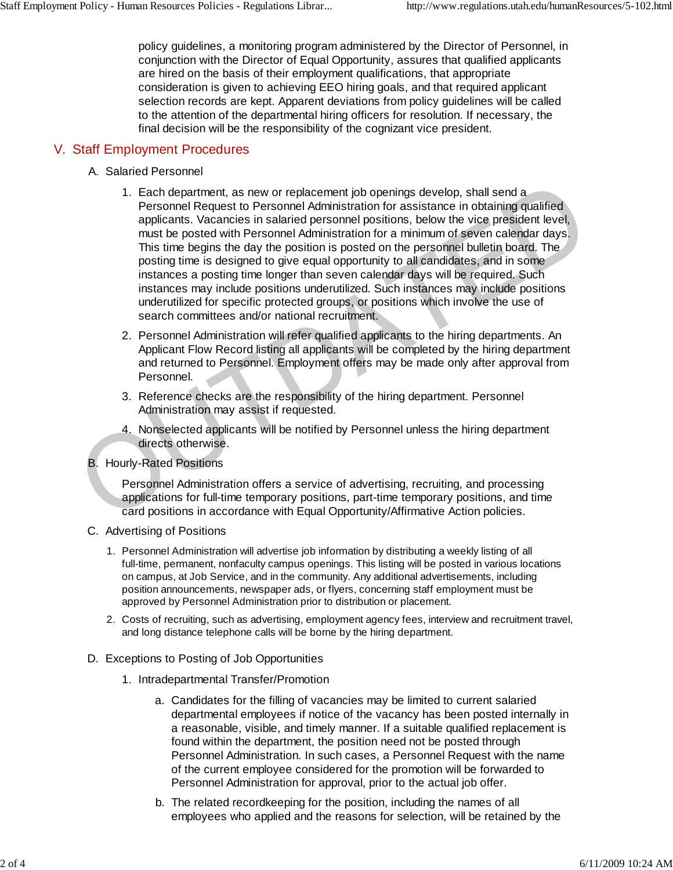policy guidelines, a monitoring program administered by the Director of Personnel, in conjunction with the Director of Equal Opportunity, assures that qualified applicants are hired on the basis of their employment qualifications, that appropriate consideration is given to achieving EEO hiring goals, and that required applicant selection records are kept. Apparent deviations from policy guidelines will be called to the attention of the departmental hiring officers for resolution. If necessary, the final decision will be the responsibility of the cognizant vice president.

### V. Staff Employment Procedures

- A. Salaried Personnel
- 1. Each department, as new or replacement job openings develop, shall send a Personnel Request to Personnel Administration for assistance in obtaining qualified applicants. Vacancies in salaried personnel positions, below the vice president level, must be posted with Personnel Administration for a minimum of seven calendar days. This time begins the day the position is posted on the personnel bulletin board. The posting time is designed to give equal opportunity to all candidates, and in some instances a posting time longer than seven calendar days will be required. Such instances may include positions underutilized. Such instances may include positions underutilized for specific protected groups, or positions which involve the use of search committees and/or national recruitment. 1. Each department, as new or replacement job openings develop, shall send a<br>
Personnel Request to Personnel Administration for a saststance in obtaining qualified<br>
applicants. Vacancies in salaried personnel positions, be
	- 2. Personnel Administration will refer qualified applicants to the hiring departments. An Applicant Flow Record listing all applicants will be completed by the hiring department and returned to Personnel. Employment offers may be made only after approval from Personnel.
	- 3. Reference checks are the responsibility of the hiring department. Personnel Administration may assist if requested.
	- 4. Nonselected applicants will be notified by Personnel unless the hiring department directs otherwise.
	- **B.** Hourly-Rated Positions

Personnel Administration offers a service of advertising, recruiting, and processing applications for full-time temporary positions, part-time temporary positions, and time card positions in accordance with Equal Opportunity/Affirmative Action policies.

- C. Advertising of Positions
	- 1. Personnel Administration will advertise job information by distributing a weekly listing of all full-time, permanent, nonfaculty campus openings. This listing will be posted in various locations on campus, at Job Service, and in the community. Any additional advertisements, including position announcements, newspaper ads, or flyers, concerning staff employment must be approved by Personnel Administration prior to distribution or placement.
	- 2. Costs of recruiting, such as advertising, employment agency fees, interview and recruitment travel, and long distance telephone calls will be borne by the hiring department.
- D. Exceptions to Posting of Job Opportunities
	- 1. Intradepartmental Transfer/Promotion
		- Candidates for the filling of vacancies may be limited to current salaried a. departmental employees if notice of the vacancy has been posted internally in a reasonable, visible, and timely manner. If a suitable qualified replacement is found within the department, the position need not be posted through Personnel Administration. In such cases, a Personnel Request with the name of the current employee considered for the promotion will be forwarded to Personnel Administration for approval, prior to the actual job offer.
		- b. The related recordkeeping for the position, including the names of all employees who applied and the reasons for selection, will be retained by the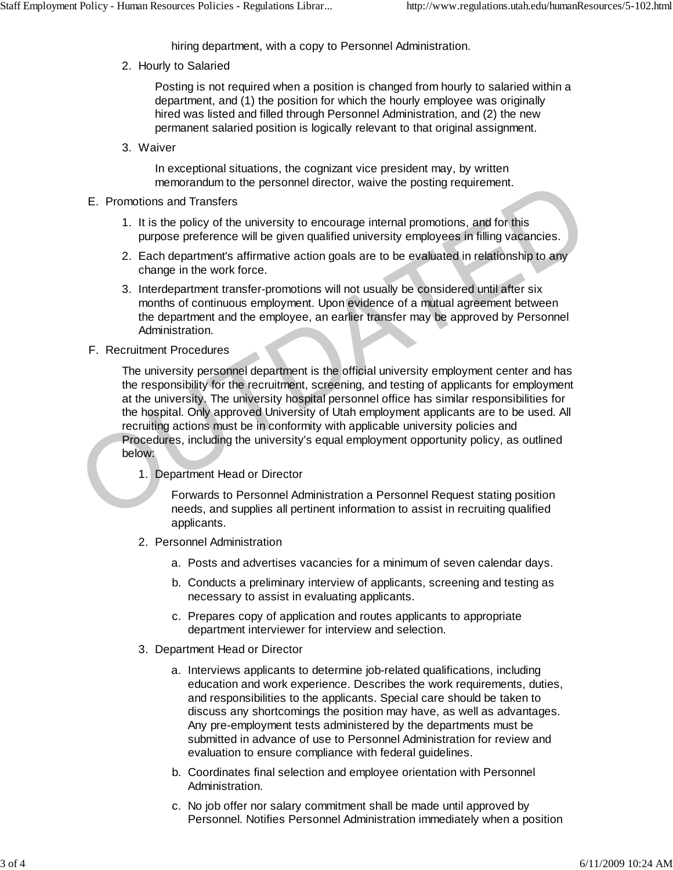hiring department, with a copy to Personnel Administration.

2. Hourly to Salaried

Posting is not required when a position is changed from hourly to salaried within a department, and (1) the position for which the hourly employee was originally hired was listed and filled through Personnel Administration, and (2) the new permanent salaried position is logically relevant to that original assignment.

Waiver 3.

In exceptional situations, the cognizant vice president may, by written memorandum to the personnel director, waive the posting requirement.

- E. Promotions and Transfers
	- 1. It is the policy of the university to encourage internal promotions, and for this purpose preference will be given qualified university employees in filling vacancies.
	- 2. Each department's affirmative action goals are to be evaluated in relationship to any change in the work force.
	- 3. Interdepartment transfer-promotions will not usually be considered until after six months of continuous employment. Upon evidence of a mutual agreement between the department and the employee, an earlier transfer may be approved by Personnel Administration.
- F. Recruitment Procedures

The university personnel department is the official university employment center and has the responsibility for the recruitment, screening, and testing of applicants for employment at the university. The university hospital personnel office has similar responsibilities for the hospital. Only approved University of Utah employment applicants are to be used. All recruiting actions must be in conformity with applicable university policies and Procedures, including the university's equal employment opportunity policy, as outlined below: memorandum to the personnel director, wave the posting requirement.<br>
1. It is the policy of the university to encourage internal promotions, and for this<br>
purpose preference will be given qualified university employees in

1. Department Head or Director

Forwards to Personnel Administration a Personnel Request stating position needs, and supplies all pertinent information to assist in recruiting qualified applicants.

- 2. Personnel Administration
	- a. Posts and advertises vacancies for a minimum of seven calendar days.
	- b. Conducts a preliminary interview of applicants, screening and testing as necessary to assist in evaluating applicants.
	- c. Prepares copy of application and routes applicants to appropriate department interviewer for interview and selection.
- 3. Department Head or Director
	- a. Interviews applicants to determine job-related qualifications, including education and work experience. Describes the work requirements, duties, and responsibilities to the applicants. Special care should be taken to discuss any shortcomings the position may have, as well as advantages. Any pre-employment tests administered by the departments must be submitted in advance of use to Personnel Administration for review and evaluation to ensure compliance with federal guidelines.
	- Coordinates final selection and employee orientation with Personnel b. Administration.
	- c. No job offer nor salary commitment shall be made until approved by Personnel. Notifies Personnel Administration immediately when a position